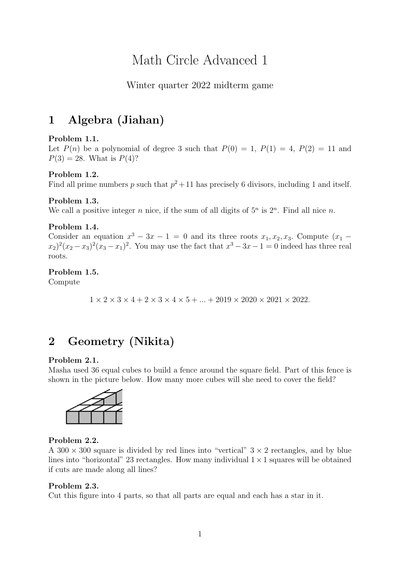# Math Circle Advanced 1

# Winter quarter 2022 midterm game

# 1 Algebra (Jiahan)

# Problem 1.1.

Let  $P(n)$  be a polynomial of degree 3 such that  $P(0) = 1$ ,  $P(1) = 4$ ,  $P(2) = 11$  and  $P(3) = 28$ . What is  $P(4)$ ?

# Problem 1.2.

Find all prime numbers p such that  $p^2 + 11$  has precisely 6 divisors, including 1 and itself.

# Problem 1.3.

We call a positive integer n nice, if the sum of all digits of  $5<sup>n</sup>$  is  $2<sup>n</sup>$ . Find all nice n.

#### Problem 1.4.

Consider an equation  $x^3 - 3x - 1 = 0$  and its three roots  $x_1, x_2, x_3$ . Compute  $(x_1 (x_2)^2(x_2-x_3)^2(x_3-x_1)^2$ . You may use the fact that  $x^3-3x-1=0$  indeed has three real roots.

# Problem 1.5.

Compute

 $1 \times 2 \times 3 \times 4 + 2 \times 3 \times 4 \times 5 + \dots + 2019 \times 2020 \times 2021 \times 2022.$ 

# 2 Geometry (Nikita)

#### Problem 2.1.

Masha used 36 equal cubes to build a fence around the square field. Part of this fence is shown in the picture below. How many more cubes will she need to cover the field?



#### Problem 2.2.

A 300  $\times$  300 square is divided by red lines into "vertical"  $3 \times 2$  rectangles, and by blue lines into "horizontal" 23 rectangles. How many individual  $1 \times 1$  squares will be obtained if cuts are made along all lines?

#### Problem 2.3.

Cut this figure into 4 parts, so that all parts are equal and each has a star in it.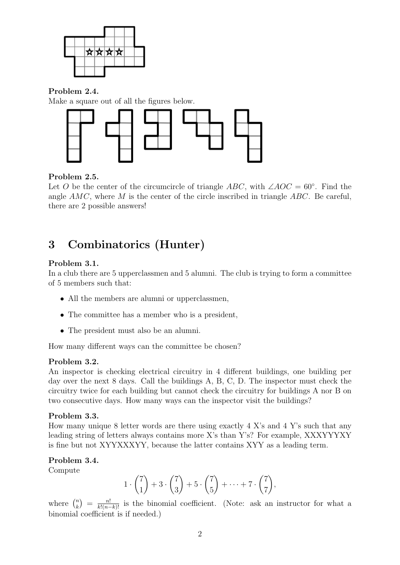

Problem 2.4.

Make a square out of all the figures below.



# Problem 2.5.

Let O be the center of the circumcircle of triangle  $ABC$ , with  $\angle AOC = 60^\circ$ . Find the angle  $AMC$ , where M is the center of the circle inscribed in triangle  $ABC$ . Be careful, there are 2 possible answers!

# 3 Combinatorics (Hunter)

# Problem 3.1.

In a club there are 5 upperclassmen and 5 alumni. The club is trying to form a committee of 5 members such that:

- All the members are alumni or upperclassmen,
- The committee has a member who is a president,
- The president must also be an alumni.

How many different ways can the committee be chosen?

# Problem 3.2.

An inspector is checking electrical circuitry in 4 different buildings, one building per day over the next 8 days. Call the buildings A, B, C, D. The inspector must check the circuitry twice for each building but cannot check the circuitry for buildings A nor B on two consecutive days. How many ways can the inspector visit the buildings?

# Problem 3.3.

How many unique 8 letter words are there using exactly  $4 \text{ X's}$  and  $4 \text{ Y's}$  such that any leading string of letters always contains more X's than Y's? For example, XXXYYYXY is fine but not XYYXXXYY, because the latter contains XYY as a leading term.

# Problem 3.4.

Compute

$$
1\cdot\binom{7}{1}+3\cdot\binom{7}{3}+5\cdot\binom{7}{5}+\cdots+7\cdot\binom{7}{7},
$$

where  $\binom{n}{k}$  $\binom{n}{k} = \frac{n!}{k!(n-k)!}$  is the binomial coefficient. (Note: ask an instructor for what a binomial coefficient is if needed.)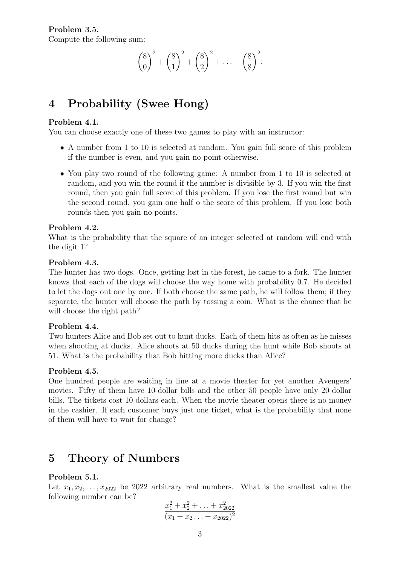$$
{8 \choose 0}^2 + {8 \choose 1}^2 + {8 \choose 2}^2 + \ldots + {8 \choose 8}^2.
$$

# 4 Probability (Swee Hong)

#### Problem 4.1.

You can choose exactly one of these two games to play with an instructor:

- A number from 1 to 10 is selected at random. You gain full score of this problem if the number is even, and you gain no point otherwise.
- You play two round of the following game: A number from 1 to 10 is selected at random, and you win the round if the number is divisible by 3. If you win the first round, then you gain full score of this problem. If you lose the first round but win the second round, you gain one half o the score of this problem. If you lose both rounds then you gain no points.

#### Problem 4.2.

What is the probability that the square of an integer selected at random will end with the digit 1?

#### Problem 4.3.

The hunter has two dogs. Once, getting lost in the forest, he came to a fork. The hunter knows that each of the dogs will choose the way home with probability 0.7. He decided to let the dogs out one by one. If both choose the same path, he will follow them; if they separate, the hunter will choose the path by tossing a coin. What is the chance that he will choose the right path?

# Problem 4.4.

Two hunters Alice and Bob set out to hunt ducks. Each of them hits as often as he misses when shooting at ducks. Alice shoots at 50 ducks during the hunt while Bob shoots at 51. What is the probability that Bob hitting more ducks than Alice?

# Problem 4.5.

One hundred people are waiting in line at a movie theater for yet another Avengers' movies. Fifty of them have 10-dollar bills and the other 50 people have only 20-dollar bills. The tickets cost 10 dollars each. When the movie theater opens there is no money in the cashier. If each customer buys just one ticket, what is the probability that none of them will have to wait for change?

# 5 Theory of Numbers

# Problem 5.1.

Let  $x_1, x_2, \ldots, x_{2022}$  be 2022 arbitrary real numbers. What is the smallest value the following number can be?

$$
\frac{x_1^2 + x_2^2 + \ldots + x_{2022}^2}{(x_1 + x_2 \ldots + x_{2022})^2}
$$